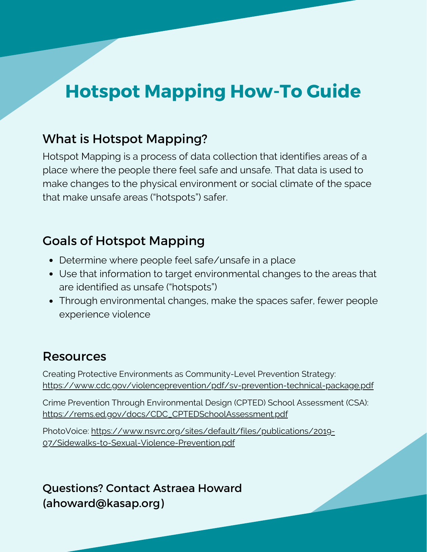## **Hotspot Mapping How-To Guide**

### What is Hotspot Mapping?

Hotspot Mapping is a process of data collection that identifies areas of a place where the people there feel safe and unsafe. That data is used to make changes to the physical environment or social climate of the space that make unsafe areas ("hotspots") safer.

### Goals of Hotspot Mapping

- Determine where people feel safe/unsafe in a place
- Use that information to target environmental changes to the areas that are identified as unsafe ("hotspots")
- Through environmental changes, make the spaces safer, fewer people experience violence

#### Resources

Creating Protective Environments as Community-Level Prevention Strategy: <https://www.cdc.gov/violenceprevention/pdf/sv-prevention-technical-package.pdf>

Crime Prevention Through Environmental Design (CPTED) School Assessment (CSA): [https://rems.ed.gov/docs/CDC\\_CPTEDSchoolAssessment.pdf](https://rems.ed.gov/docs/CDC_CPTEDSchoolAssessment.pdf)

PhotoVoice: [https://www.nsvrc.org/sites/default/files/publications/2019-](https://www.nsvrc.org/sites/default/files/publications/2019-07/Sidewalks-to-Sexual-Violence-Prevention.pdf) 07/Sidewalks-to-Sexual-Violence-Prevention.pdf

Questions? Contact Astraea Howard (ahoward@kasap.org)